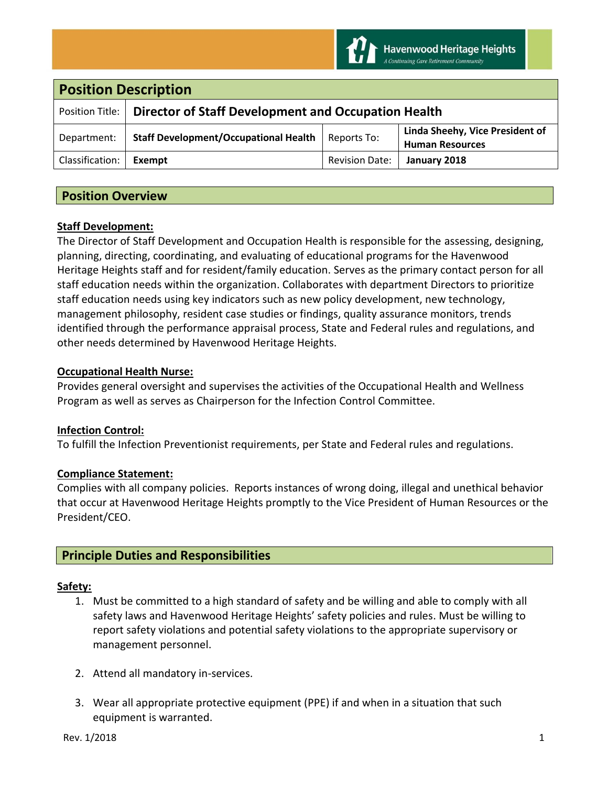

| <b>Position Description</b> |                                                     |                       |                                                           |
|-----------------------------|-----------------------------------------------------|-----------------------|-----------------------------------------------------------|
| Position Title:             | Director of Staff Development and Occupation Health |                       |                                                           |
| Department:                 | <b>Staff Development/Occupational Health</b>        | Reports To:           | Linda Sheehy, Vice President of<br><b>Human Resources</b> |
| Classification:             | Exempt                                              | <b>Revision Date:</b> | January 2018                                              |

# **Position Overview**

## **Staff Development:**

The Director of Staff Development and Occupation Health is responsible for the assessing, designing, planning, directing, coordinating, and evaluating of educational programs for the Havenwood Heritage Heights staff and for resident/family education. Serves as the primary contact person for all staff education needs within the organization. Collaborates with department Directors to prioritize staff education needs using key indicators such as new policy development, new technology, management philosophy, resident case studies or findings, quality assurance monitors, trends identified through the performance appraisal process, State and Federal rules and regulations, and other needs determined by Havenwood Heritage Heights.

## **Occupational Health Nurse:**

Provides general oversight and supervises the activities of the Occupational Health and Wellness Program as well as serves as Chairperson for the Infection Control Committee.

### **Infection Control:**

To fulfill the Infection Preventionist requirements, per State and Federal rules and regulations.

# **Compliance Statement:**

Complies with all company policies. Reports instances of wrong doing, illegal and unethical behavior that occur at Havenwood Heritage Heights promptly to the Vice President of Human Resources or the President/CEO.

# **Principle Duties and Responsibilities**

### **Safety:**

- 1. Must be committed to a high standard of safety and be willing and able to comply with all safety laws and Havenwood Heritage Heights' safety policies and rules. Must be willing to report safety violations and potential safety violations to the appropriate supervisory or management personnel.
- 2. Attend all mandatory in-services.
- 3. Wear all appropriate protective equipment (PPE) if and when in a situation that such equipment is warranted.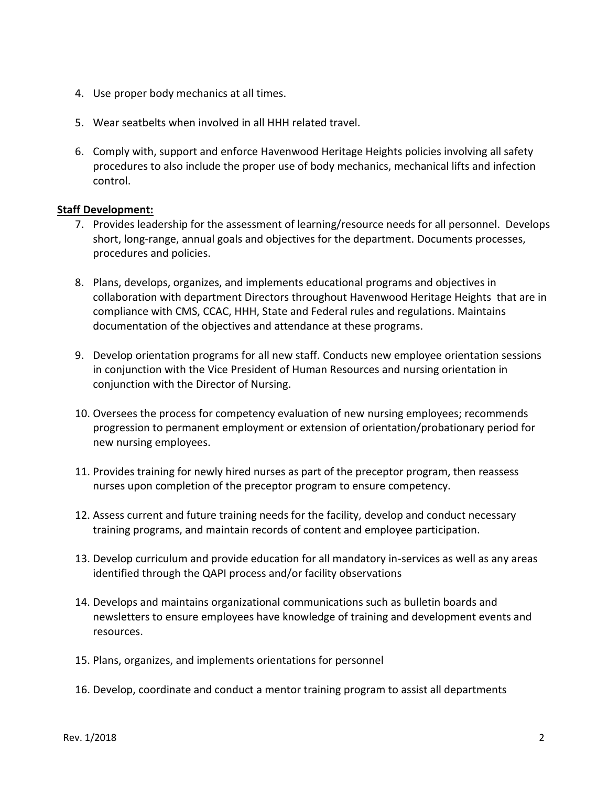- 4. Use proper body mechanics at all times.
- 5. Wear seatbelts when involved in all HHH related travel.
- 6. Comply with, support and enforce Havenwood Heritage Heights policies involving all safety procedures to also include the proper use of body mechanics, mechanical lifts and infection control.

### **Staff Development:**

- 7. Provides leadership for the assessment of learning/resource needs for all personnel. Develops short, long-range, annual goals and objectives for the department. Documents processes, procedures and policies.
- 8. Plans, develops, organizes, and implements educational programs and objectives in collaboration with department Directors throughout Havenwood Heritage Heights that are in compliance with CMS, CCAC, HHH, State and Federal rules and regulations. Maintains documentation of the objectives and attendance at these programs.
- 9. Develop orientation programs for all new staff. Conducts new employee orientation sessions in conjunction with the Vice President of Human Resources and nursing orientation in conjunction with the Director of Nursing.
- 10. Oversees the process for competency evaluation of new nursing employees; recommends progression to permanent employment or extension of orientation/probationary period for new nursing employees.
- 11. Provides training for newly hired nurses as part of the preceptor program, then reassess nurses upon completion of the preceptor program to ensure competency.
- 12. Assess current and future training needs for the facility, develop and conduct necessary training programs, and maintain records of content and employee participation.
- 13. Develop curriculum and provide education for all mandatory in-services as well as any areas identified through the QAPI process and/or facility observations
- 14. Develops and maintains organizational communications such as bulletin boards and newsletters to ensure employees have knowledge of training and development events and resources.
- 15. Plans, organizes, and implements orientations for personnel
- 16. Develop, coordinate and conduct a mentor training program to assist all departments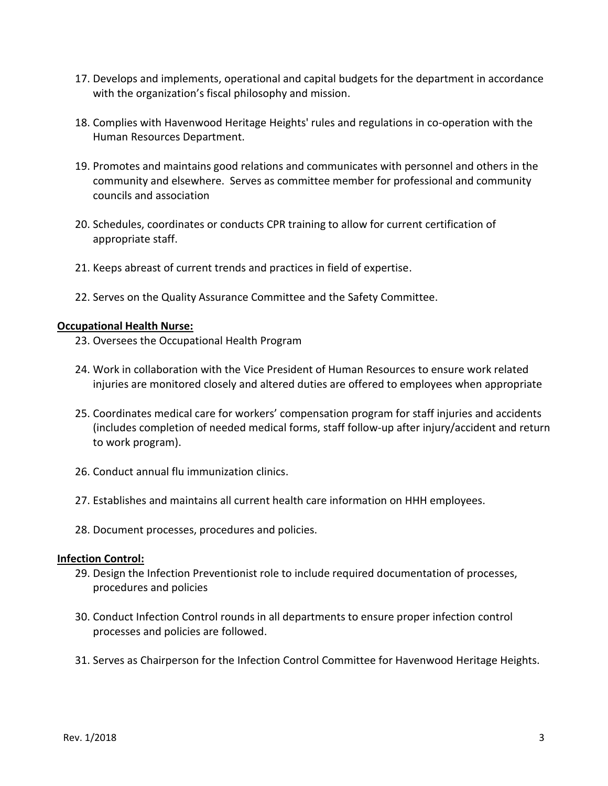- 17. Develops and implements, operational and capital budgets for the department in accordance with the organization's fiscal philosophy and mission.
- 18. Complies with Havenwood Heritage Heights' rules and regulations in co-operation with the Human Resources Department.
- 19. Promotes and maintains good relations and communicates with personnel and others in the community and elsewhere. Serves as committee member for professional and community councils and association
- 20. Schedules, coordinates or conducts CPR training to allow for current certification of appropriate staff.
- 21. Keeps abreast of current trends and practices in field of expertise.
- 22. Serves on the Quality Assurance Committee and the Safety Committee.

### **Occupational Health Nurse:**

- 23. Oversees the Occupational Health Program
- 24. Work in collaboration with the Vice President of Human Resources to ensure work related injuries are monitored closely and altered duties are offered to employees when appropriate
- 25. Coordinates medical care for workers' compensation program for staff injuries and accidents (includes completion of needed medical forms, staff follow-up after injury/accident and return to work program).
- 26. Conduct annual flu immunization clinics.
- 27. Establishes and maintains all current health care information on HHH employees.
- 28. Document processes, procedures and policies.

#### **Infection Control:**

- 29. Design the Infection Preventionist role to include required documentation of processes, procedures and policies
- 30. Conduct Infection Control rounds in all departments to ensure proper infection control processes and policies are followed.
- 31. Serves as Chairperson for the Infection Control Committee for Havenwood Heritage Heights.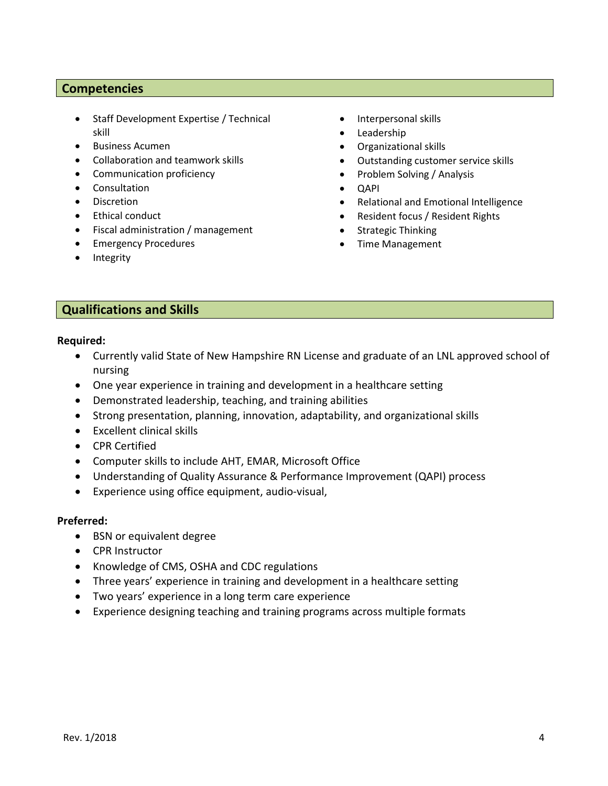### **Competencies**

- Staff Development Expertise / Technical skill
- Business Acumen
- Collaboration and teamwork skills
- Communication proficiency
- Consultation
- Discretion
- Ethical conduct
- Fiscal administration / management
- Emergency Procedures
- Integrity
- Interpersonal skills
- Leadership
- Organizational skills
- Outstanding customer service skills
- Problem Solving / Analysis
- QAPI
- Relational and Emotional Intelligence
- Resident focus / Resident Rights
- Strategic Thinking
- Time Management

### **Qualifications and Skills**

#### **Required:**

- Currently valid State of New Hampshire RN License and graduate of an LNL approved school of nursing
- One year experience in training and development in a healthcare setting
- Demonstrated leadership, teaching, and training abilities
- Strong presentation, planning, innovation, adaptability, and organizational skills
- Excellent clinical skills
- CPR Certified
- Computer skills to include AHT, EMAR, Microsoft Office
- Understanding of Quality Assurance & Performance Improvement (QAPI) process
- Experience using office equipment, audio-visual,

#### **Preferred:**

- BSN or equivalent degree
- CPR Instructor
- Knowledge of CMS, OSHA and CDC regulations
- Three years' experience in training and development in a healthcare setting
- Two years' experience in a long term care experience
- Experience designing teaching and training programs across multiple formats